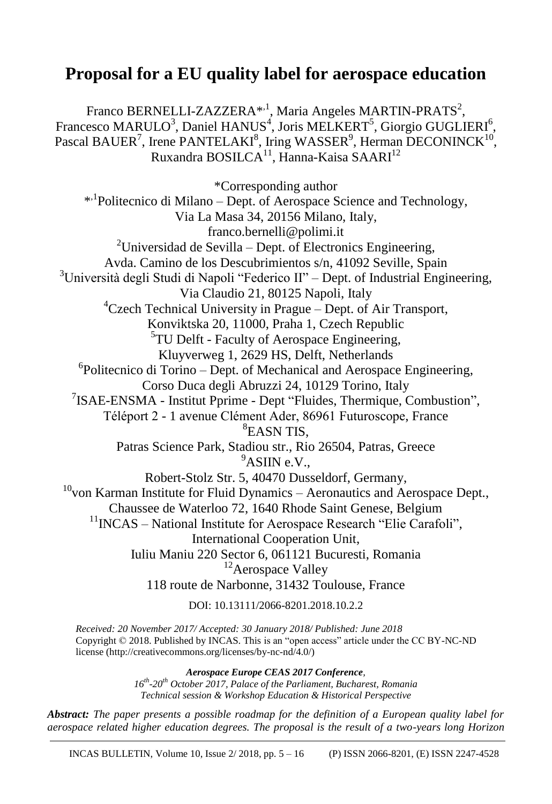# **Proposal for a EU quality label for aerospace education**

Franco BERNELLI-ZAZZERA<sup>\*,1</sup>, Maria Angeles MARTIN-PRATS<sup>2</sup>, Francesco MARULO<sup>3</sup>, Daniel HANUS<sup>4</sup>, Joris MELKERT<sup>5</sup>, Giorgio GUGLIERI<sup>6</sup>, Pascal BAUER<sup>7</sup>, Irene PANTELAKI<sup>8</sup>, Iring WASSER<sup>9</sup>, Herman DECONINCK<sup>10</sup>, Ruxandra BOSILCA<sup>11</sup>, Hanna-Kaisa SAARI<sup>12</sup>

\*Corresponding author \* ,1 Politecnico di Milano – Dept. of Aerospace Science and Technology, Via La Masa 34, 20156 Milano, Italy, franco.bernelli@polimi.it  $2$ Universidad de Sevilla – Dept. of Electronics Engineering, Avda. Camino de los Descubrimientos s/n, 41092 Seville, Spain <sup>3</sup>Università degli Studi di Napoli "Federico II" – Dept. of Industrial Engineering, Via Claudio 21, 80125 Napoli, Italy  ${}^{4}$ Czech Technical University in Prague – Dept. of Air Transport, Konviktska 20, 11000, Praha 1, Czech Republic 5 TU Delft - Faculty of Aerospace Engineering, Kluyverweg 1, 2629 HS, Delft, Netherlands 6 Politecnico di Torino – Dept. of Mechanical and Aerospace Engineering, Corso Duca degli Abruzzi 24, 10129 Torino, Italy <sup>7</sup>ISAE-ENSMA - Institut Pprime - Dept "Fluides, Thermique, Combustion", Téléport 2 - 1 avenue Clément Ader, 86961 Futuroscope, France 8 EASN TIS, Patras Science Park, Stadiou str., Rio 26504, Patras, Greece  $9$ ASIIN e.V., Robert-Stolz Str. 5, 40470 Dusseldorf, Germany,  $10$ von Karman Institute for Fluid Dynamics – Aeronautics and Aerospace Dept., Chaussee de Waterloo 72, 1640 Rhode Saint Genese, Belgium  $11$ INCAS – National Institute for Aerospace Research "Elie Carafoli", International Cooperation Unit, Iuliu Maniu 220 Sector 6, 061121 Bucuresti, Romania <sup>12</sup>Aerospace Valley 118 route de Narbonne, 31432 Toulouse, France DOI: 10.13111/2066-8201.2018.10.2.2

*Received: 20 November 2017/ Accepted: 30 January 2018/ Published: June 2018* Copyright © 2018. Published by INCAS. This is an "open access" article under the CC BY-NC-ND license (http://creativecommons.org/licenses/by-nc-nd/4.0/)

> *Aerospace Europe CEAS 2017 Conference, 16th -20th October 2017, Palace of the Parliament, Bucharest, Romania Technical session & Workshop Education & Historical Perspective*

*Abstract: The paper presents a possible roadmap for the definition of a European quality label for aerospace related higher education degrees. The proposal is the result of a two-years long Horizon*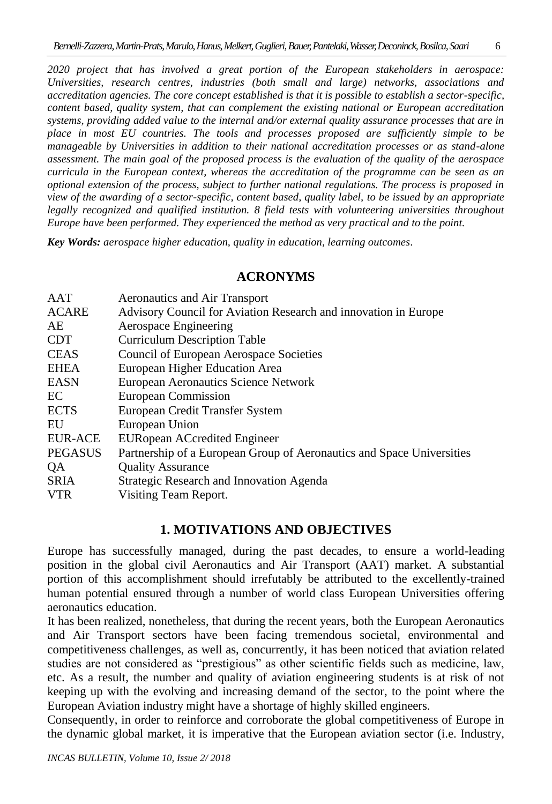*2020 project that has involved a great portion of the European stakeholders in aerospace: Universities, research centres, industries (both small and large) networks, associations and accreditation agencies. The core concept established is that it is possible to establish a sector-specific, content based, quality system, that can complement the existing national or European accreditation systems, providing added value to the internal and/or external quality assurance processes that are in place in most EU countries. The tools and processes proposed are sufficiently simple to be manageable by Universities in addition to their national accreditation processes or as stand-alone assessment. The main goal of the proposed process is the evaluation of the quality of the aerospace curricula in the European context, whereas the accreditation of the programme can be seen as an optional extension of the process, subject to further national regulations. The process is proposed in view of the awarding of a sector-specific, content based, quality label, to be issued by an appropriate*  legally recognized and qualified institution. 8 field tests with volunteering universities throughout *Europe have been performed. They experienced the method as very practical and to the point.*

*Key Words: aerospace higher education, quality in education, learning outcomes.*

## **ACRONYMS**

| AAT            | Aeronautics and Air Transport                                         |
|----------------|-----------------------------------------------------------------------|
| <b>ACARE</b>   | Advisory Council for Aviation Research and innovation in Europe       |
| AE             | Aerospace Engineering                                                 |
| <b>CDT</b>     | <b>Curriculum Description Table</b>                                   |
| <b>CEAS</b>    | Council of European Aerospace Societies                               |
| <b>EHEA</b>    | European Higher Education Area                                        |
| <b>EASN</b>    | <b>European Aeronautics Science Network</b>                           |
| EC             | <b>European Commission</b>                                            |
| <b>ECTS</b>    | European Credit Transfer System                                       |
| EU             | European Union                                                        |
| <b>EUR-ACE</b> | <b>EURopean ACcredited Engineer</b>                                   |
| <b>PEGASUS</b> | Partnership of a European Group of Aeronautics and Space Universities |
| QA             | <b>Quality Assurance</b>                                              |
| <b>SRIA</b>    | Strategic Research and Innovation Agenda                              |
| <b>VTR</b>     | Visiting Team Report.                                                 |
|                |                                                                       |

## **1. MOTIVATIONS AND OBJECTIVES**

Europe has successfully managed, during the past decades, to ensure a world-leading position in the global civil Aeronautics and Air Transport (AAT) market. A substantial portion of this accomplishment should irrefutably be attributed to the excellently-trained human potential ensured through a number of world class European Universities offering aeronautics education.

It has been realized, nonetheless, that during the recent years, both the European Aeronautics and Air Transport sectors have been facing tremendous societal, environmental and competitiveness challenges, as well as, concurrently, it has been noticed that aviation related studies are not considered as "prestigious" as other scientific fields such as medicine, law, etc. As a result, the number and quality of aviation engineering students is at risk of not keeping up with the evolving and increasing demand of the sector, to the point where the European Aviation industry might have a shortage of highly skilled engineers.

Consequently, in order to reinforce and corroborate the global competitiveness of Europe in the dynamic global market, it is imperative that the European aviation sector (i.e. Industry,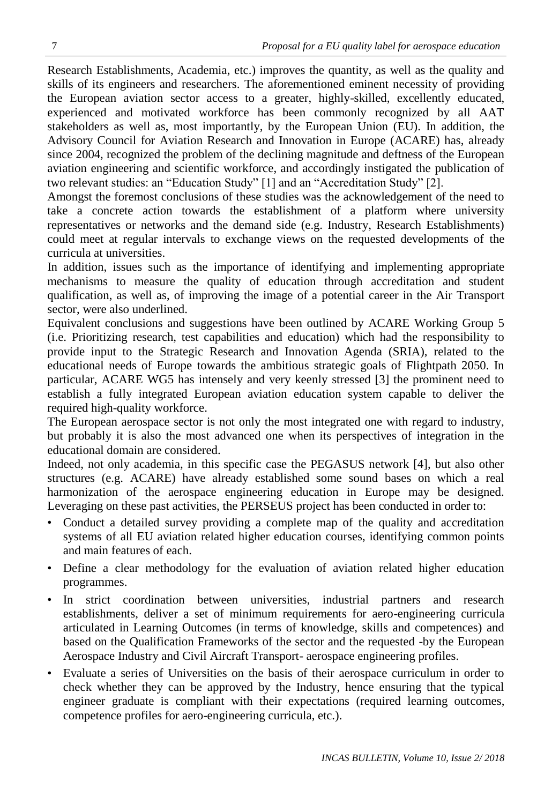Research Establishments, Academia, etc.) improves the quantity, as well as the quality and skills of its engineers and researchers. The aforementioned eminent necessity of providing the European aviation sector access to a greater, highly-skilled, excellently educated, experienced and motivated workforce has been commonly recognized by all AAT stakeholders as well as, most importantly, by the European Union (EU). In addition, the Advisory Council for Aviation Research and Innovation in Europe (ACARE) has, already since 2004, recognized the problem of the declining magnitude and deftness of the European aviation engineering and scientific workforce, and accordingly instigated the publication of two relevant studies: an "Education Study" [1] and an "Accreditation Study" [2].

Amongst the foremost conclusions of these studies was the acknowledgement of the need to take a concrete action towards the establishment of a platform where university representatives or networks and the demand side (e.g. Industry, Research Establishments) could meet at regular intervals to exchange views on the requested developments of the curricula at universities.

In addition, issues such as the importance of identifying and implementing appropriate mechanisms to measure the quality of education through accreditation and student qualification, as well as, of improving the image of a potential career in the Air Transport sector, were also underlined.

Equivalent conclusions and suggestions have been outlined by ACARE Working Group 5 (i.e. Prioritizing research, test capabilities and education) which had the responsibility to provide input to the Strategic Research and Innovation Agenda (SRIA), related to the educational needs of Europe towards the ambitious strategic goals of Flightpath 2050. In particular, ACARE WG5 has intensely and very keenly stressed [3] the prominent need to establish a fully integrated European aviation education system capable to deliver the required high-quality workforce.

The European aerospace sector is not only the most integrated one with regard to industry, but probably it is also the most advanced one when its perspectives of integration in the educational domain are considered.

Indeed, not only academia, in this specific case the PEGASUS network [4], but also other structures (e.g. ACARE) have already established some sound bases on which a real harmonization of the aerospace engineering education in Europe may be designed. Leveraging on these past activities, the PERSEUS project has been conducted in order to:

- Conduct a detailed survey providing a complete map of the quality and accreditation systems of all EU aviation related higher education courses, identifying common points and main features of each.
- Define a clear methodology for the evaluation of aviation related higher education programmes.
- In strict coordination between universities, industrial partners and research establishments, deliver a set of minimum requirements for aero-engineering curricula articulated in Learning Outcomes (in terms of knowledge, skills and competences) and based on the Qualification Frameworks of the sector and the requested -by the European Aerospace Industry and Civil Aircraft Transport- aerospace engineering profiles.
- Evaluate a series of Universities on the basis of their aerospace curriculum in order to check whether they can be approved by the Industry, hence ensuring that the typical engineer graduate is compliant with their expectations (required learning outcomes, competence profiles for aero-engineering curricula, etc.).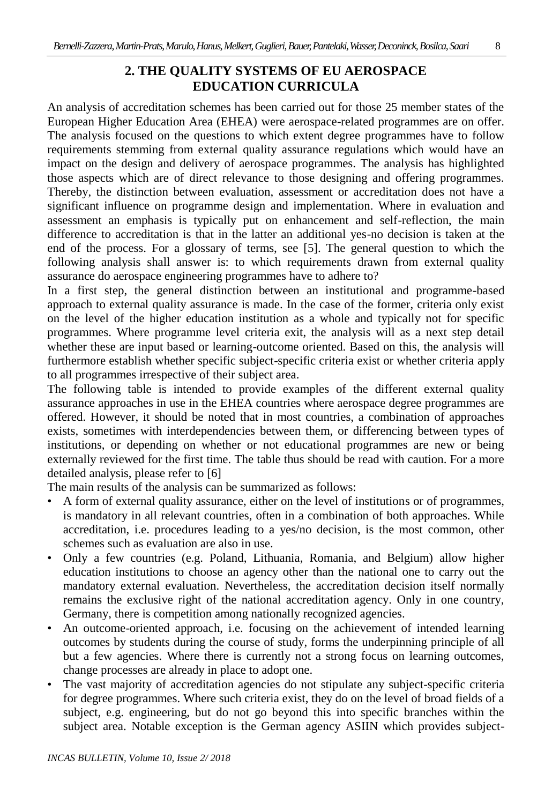## **2. THE QUALITY SYSTEMS OF EU AEROSPACE EDUCATION CURRICULA**

An analysis of accreditation schemes has been carried out for those 25 member states of the European Higher Education Area (EHEA) were aerospace-related programmes are on offer. The analysis focused on the questions to which extent degree programmes have to follow requirements stemming from external quality assurance regulations which would have an impact on the design and delivery of aerospace programmes. The analysis has highlighted those aspects which are of direct relevance to those designing and offering programmes. Thereby, the distinction between evaluation, assessment or accreditation does not have a significant influence on programme design and implementation. Where in evaluation and assessment an emphasis is typically put on enhancement and self-reflection, the main difference to accreditation is that in the latter an additional yes-no decision is taken at the end of the process. For a glossary of terms, see [5]. The general question to which the following analysis shall answer is: to which requirements drawn from external quality assurance do aerospace engineering programmes have to adhere to?

In a first step, the general distinction between an institutional and programme-based approach to external quality assurance is made. In the case of the former, criteria only exist on the level of the higher education institution as a whole and typically not for specific programmes. Where programme level criteria exit, the analysis will as a next step detail whether these are input based or learning-outcome oriented. Based on this, the analysis will furthermore establish whether specific subject-specific criteria exist or whether criteria apply to all programmes irrespective of their subject area.

The following table is intended to provide examples of the different external quality assurance approaches in use in the EHEA countries where aerospace degree programmes are offered. However, it should be noted that in most countries, a combination of approaches exists, sometimes with interdependencies between them, or differencing between types of institutions, or depending on whether or not educational programmes are new or being externally reviewed for the first time. The table thus should be read with caution. For a more detailed analysis, please refer to [6]

The main results of the analysis can be summarized as follows:

- A form of external quality assurance, either on the level of institutions or of programmes, is mandatory in all relevant countries, often in a combination of both approaches. While accreditation, i.e. procedures leading to a yes/no decision, is the most common, other schemes such as evaluation are also in use.
- Only a few countries (e.g. Poland, Lithuania, Romania, and Belgium) allow higher education institutions to choose an agency other than the national one to carry out the mandatory external evaluation. Nevertheless, the accreditation decision itself normally remains the exclusive right of the national accreditation agency. Only in one country, Germany, there is competition among nationally recognized agencies.
- An outcome-oriented approach, i.e. focusing on the achievement of intended learning outcomes by students during the course of study, forms the underpinning principle of all but a few agencies. Where there is currently not a strong focus on learning outcomes, change processes are already in place to adopt one.
- The vast majority of accreditation agencies do not stipulate any subject-specific criteria for degree programmes. Where such criteria exist, they do on the level of broad fields of a subject, e.g. engineering, but do not go beyond this into specific branches within the subject area. Notable exception is the German agency ASIIN which provides subject-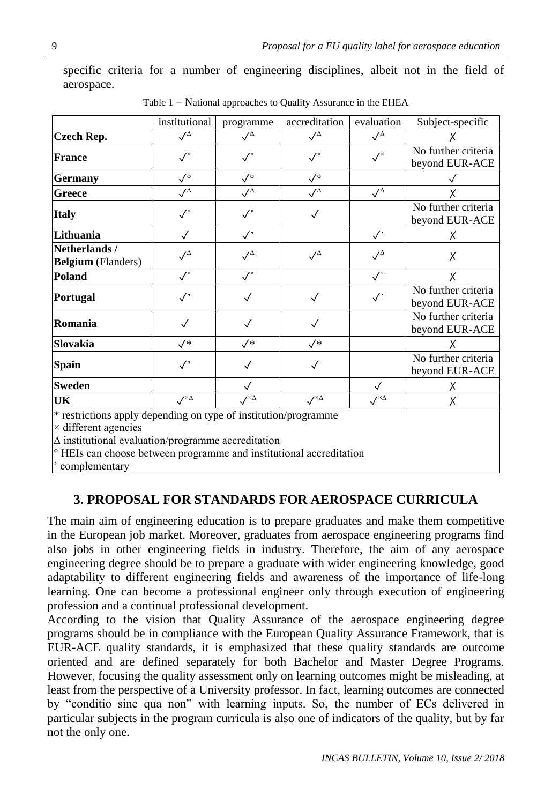specific criteria for a number of engineering disciplines, albeit not in the field of aerospace.

|                                                                                                                                                      | institutional                           | programme                               | accreditation                 | evaluation                                  | Subject-specific                      |
|------------------------------------------------------------------------------------------------------------------------------------------------------|-----------------------------------------|-----------------------------------------|-------------------------------|---------------------------------------------|---------------------------------------|
| <b>Czech Rep.</b>                                                                                                                                    | $\sqrt{\Delta}$                         | $\surd\Delta$                           | $\sqrt{\Delta}$               | $\sqrt{^{\Delta}}$                          |                                       |
| <b>France</b>                                                                                                                                        | $\checkmark$                            | $\checkmark^{\scriptscriptstyle\times}$ | $\checkmark$                  | $\checkmark$                                | No further criteria<br>beyond EUR-ACE |
| <b>Germany</b>                                                                                                                                       | $\sqrt{\circ}$                          | $\sqrt{\ }$                             | $\sqrt{\circ}$                |                                             |                                       |
| <b>Greece</b>                                                                                                                                        | $\sqrt{\Delta}$                         | $\surd\Delta$                           | $\sqrt{\Delta}$               | $\checkmark$ <sup><math>\Delta</math></sup> |                                       |
| <b>Italy</b>                                                                                                                                         | $\checkmark$                            | $\checkmark$                            | $\checkmark$                  |                                             | No further criteria<br>beyond EUR-ACE |
| Lithuania                                                                                                                                            | $\checkmark$                            | $\checkmark$                            |                               | $\checkmark$                                | X                                     |
| Netherlands /<br><b>Belgium</b> (Flanders)                                                                                                           | $\sqrt{\Delta}$                         | $\sqrt{\Delta}$                         | $\sqrt{\Delta}$               | $\sqrt{^{\Delta}}$                          | Χ                                     |
| Poland                                                                                                                                               | $\checkmark^{\scriptscriptstyle\times}$ | $\checkmark$                            |                               | $\checkmark$                                | X                                     |
| Portugal                                                                                                                                             | $\checkmark'$                           | $\checkmark$                            | $\sqrt{}$                     | $\checkmark$                                | No further criteria<br>beyond EUR-ACE |
| Romania                                                                                                                                              | $\checkmark$                            | $\checkmark$                            | $\checkmark$                  |                                             | No further criteria<br>beyond EUR-ACE |
| Slovakia                                                                                                                                             | $\sqrt{*}$                              | $\sqrt{*}$                              | $\sqrt{*}$                    |                                             |                                       |
| <b>Spain</b>                                                                                                                                         | $\checkmark$                            | ✓                                       | $\checkmark$                  |                                             | No further criteria<br>beyond EUR-ACE |
| <b>Sweden</b>                                                                                                                                        |                                         | $\checkmark$                            |                               | $\checkmark$                                | X                                     |
| UK                                                                                                                                                   | $\mathcal{N}^{\times \Delta}$           | $\mathcal{N}^{\times \Delta}$           | $\mathcal{N}^{\times \Delta}$ | $\mathcal{N}^{\times \Delta}$               | X                                     |
| * restrictions apply depending on type of institution/programme<br>$\times$ different agencies<br>A institutional evaluation/programme accreditation |                                         |                                         |                               |                                             |                                       |

Table 1 – National approaches to Quality Assurance in the EHEA

∆ institutional evaluation/programme accreditation

° HEIs can choose between programme and institutional accreditation

' complementary

## **3. PROPOSAL FOR STANDARDS FOR AEROSPACE CURRICULA**

The main aim of engineering education is to prepare graduates and make them competitive in the European job market. Moreover, graduates from aerospace engineering programs find also jobs in other engineering fields in industry. Therefore, the aim of any aerospace engineering degree should be to prepare a graduate with wider engineering knowledge, good adaptability to different engineering fields and awareness of the importance of life-long learning. One can become a professional engineer only through execution of engineering profession and a continual professional development.

According to the vision that Quality Assurance of the aerospace engineering degree programs should be in compliance with the European Quality Assurance Framework, that is EUR-ACE quality standards, it is emphasized that these quality standards are outcome oriented and are defined separately for both Bachelor and Master Degree Programs. However, focusing the quality assessment only on learning outcomes might be misleading, at least from the perspective of a University professor. In fact, learning outcomes are connected by "conditio sine qua non" with learning inputs. So, the number of ECs delivered in particular subjects in the program curricula is also one of indicators of the quality, but by far not the only one.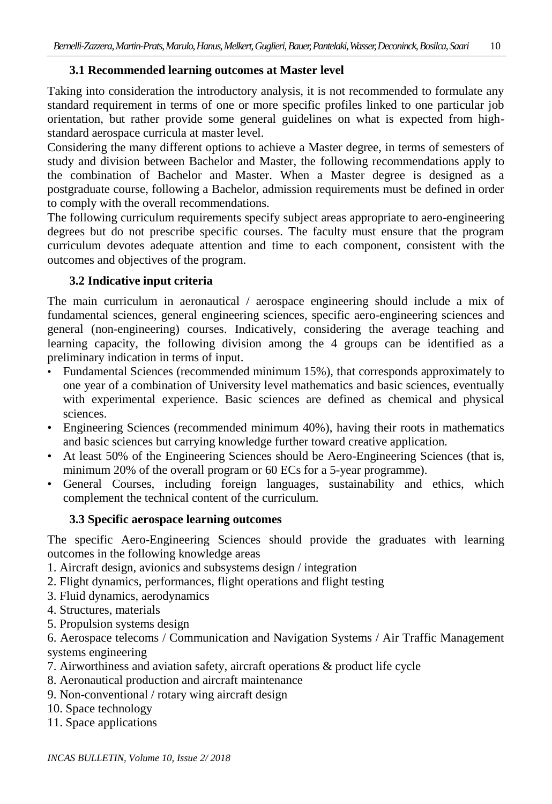## **3.1 Recommended learning outcomes at Master level**

Taking into consideration the introductory analysis, it is not recommended to formulate any standard requirement in terms of one or more specific profiles linked to one particular job orientation, but rather provide some general guidelines on what is expected from highstandard aerospace curricula at master level.

Considering the many different options to achieve a Master degree, in terms of semesters of study and division between Bachelor and Master, the following recommendations apply to the combination of Bachelor and Master. When a Master degree is designed as a postgraduate course, following a Bachelor, admission requirements must be defined in order to comply with the overall recommendations.

The following curriculum requirements specify subject areas appropriate to aero-engineering degrees but do not prescribe specific courses. The faculty must ensure that the program curriculum devotes adequate attention and time to each component, consistent with the outcomes and objectives of the program.

## **3.2 Indicative input criteria**

The main curriculum in aeronautical / aerospace engineering should include a mix of fundamental sciences, general engineering sciences, specific aero-engineering sciences and general (non-engineering) courses. Indicatively, considering the average teaching and learning capacity, the following division among the 4 groups can be identified as a preliminary indication in terms of input.

- Fundamental Sciences (recommended minimum 15%), that corresponds approximately to one year of a combination of University level mathematics and basic sciences, eventually with experimental experience. Basic sciences are defined as chemical and physical sciences.
- Engineering Sciences (recommended minimum 40%), having their roots in mathematics and basic sciences but carrying knowledge further toward creative application.
- At least 50% of the Engineering Sciences should be Aero-Engineering Sciences (that is, minimum 20% of the overall program or 60 ECs for a 5-year programme).
- General Courses, including foreign languages, sustainability and ethics, which complement the technical content of the curriculum.

## **3.3 Specific aerospace learning outcomes**

The specific Aero-Engineering Sciences should provide the graduates with learning outcomes in the following knowledge areas

- 1. Aircraft design, avionics and subsystems design / integration
- 2. Flight dynamics, performances, flight operations and flight testing
- 3. Fluid dynamics, aerodynamics
- 4. Structures, materials
- 5. Propulsion systems design

6. Aerospace telecoms / Communication and Navigation Systems / Air Traffic Management systems engineering

- 7. Airworthiness and aviation safety, aircraft operations & product life cycle
- 8. Aeronautical production and aircraft maintenance
- 9. Non-conventional / rotary wing aircraft design
- 10. Space technology
- 11. Space applications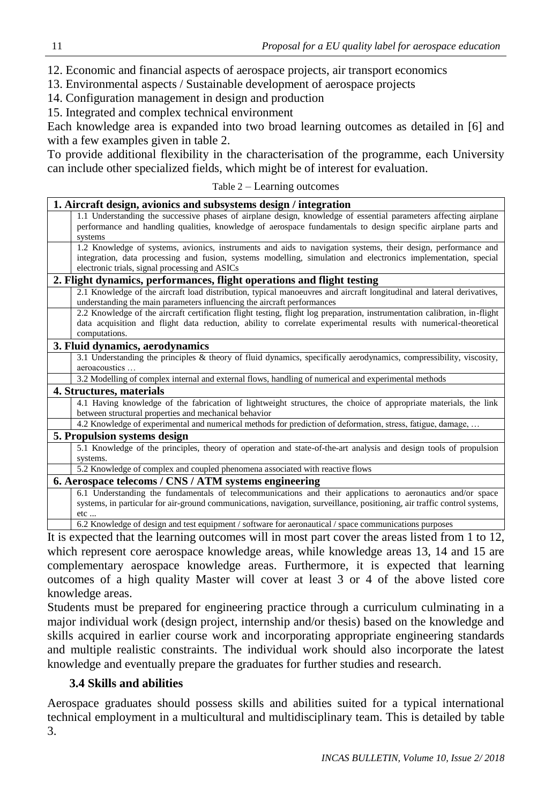12. Economic and financial aspects of aerospace projects, air transport economics

13. Environmental aspects / Sustainable development of aerospace projects

14. Configuration management in design and production

15. Integrated and complex technical environment

Each knowledge area is expanded into two broad learning outcomes as detailed in [6] and with a few examples given in table 2.

To provide additional flexibility in the characterisation of the programme, each University can include other specialized fields, which might be of interest for evaluation.

#### Table 2 – Learning outcomes

| 1. Aircraft design, avionics and subsystems design / integration                                                                                                                                                                                                                  |  |  |  |  |
|-----------------------------------------------------------------------------------------------------------------------------------------------------------------------------------------------------------------------------------------------------------------------------------|--|--|--|--|
| 1.1 Understanding the successive phases of airplane design, knowledge of essential parameters affecting airplane<br>performance and handling qualities, knowledge of aerospace fundamentals to design specific airplane parts and<br>systems                                      |  |  |  |  |
| 1.2 Knowledge of systems, avionics, instruments and aids to navigation systems, their design, performance and<br>integration, data processing and fusion, systems modelling, simulation and electronics implementation, special<br>electronic trials, signal processing and ASICs |  |  |  |  |
| 2. Flight dynamics, performances, flight operations and flight testing                                                                                                                                                                                                            |  |  |  |  |
| 2.1 Knowledge of the aircraft load distribution, typical manoeuvres and aircraft longitudinal and lateral derivatives,<br>understanding the main parameters influencing the aircraft performances                                                                                 |  |  |  |  |
| 2.2 Knowledge of the aircraft certification flight testing, flight log preparation, instrumentation calibration, in-flight<br>data acquisition and flight data reduction, ability to correlate experimental results with numerical-theoretical<br>computations.                   |  |  |  |  |
| 3. Fluid dynamics, aerodynamics                                                                                                                                                                                                                                                   |  |  |  |  |
| 3.1 Understanding the principles & theory of fluid dynamics, specifically aerodynamics, compressibility, viscosity,<br>aeroacoustics                                                                                                                                              |  |  |  |  |
| 3.2 Modelling of complex internal and external flows, handling of numerical and experimental methods                                                                                                                                                                              |  |  |  |  |
| 4. Structures, materials                                                                                                                                                                                                                                                          |  |  |  |  |
| 4.1 Having knowledge of the fabrication of lightweight structures, the choice of appropriate materials, the link<br>between structural properties and mechanical behavior                                                                                                         |  |  |  |  |
| 4.2 Knowledge of experimental and numerical methods for prediction of deformation, stress, fatigue, damage,                                                                                                                                                                       |  |  |  |  |
| 5. Propulsion systems design                                                                                                                                                                                                                                                      |  |  |  |  |
| 5.1 Knowledge of the principles, theory of operation and state-of-the-art analysis and design tools of propulsion                                                                                                                                                                 |  |  |  |  |
| systems.                                                                                                                                                                                                                                                                          |  |  |  |  |
| 5.2 Knowledge of complex and coupled phenomena associated with reactive flows                                                                                                                                                                                                     |  |  |  |  |
| 6. Aerospace telecoms / CNS / ATM systems engineering                                                                                                                                                                                                                             |  |  |  |  |
| 6.1 Understanding the fundamentals of telecommunications and their applications to aeronautics and/or space<br>systems, in particular for air-ground communications, navigation, surveillance, positioning, air traffic control systems,<br>etc                                   |  |  |  |  |
| 6.2 Knowledge of design and test equipment / software for aeronautical / space communications purposes                                                                                                                                                                            |  |  |  |  |
|                                                                                                                                                                                                                                                                                   |  |  |  |  |

It is expected that the learning outcomes will in most part cover the areas listed from 1 to 12, which represent core aerospace knowledge areas, while knowledge areas 13, 14 and 15 are complementary aerospace knowledge areas. Furthermore, it is expected that learning outcomes of a high quality Master will cover at least 3 or 4 of the above listed core knowledge areas.

Students must be prepared for engineering practice through a curriculum culminating in a major individual work (design project, internship and/or thesis) based on the knowledge and skills acquired in earlier course work and incorporating appropriate engineering standards and multiple realistic constraints. The individual work should also incorporate the latest knowledge and eventually prepare the graduates for further studies and research.

## **3.4 Skills and abilities**

Aerospace graduates should possess skills and abilities suited for a typical international technical employment in a multicultural and multidisciplinary team. This is detailed by table 3.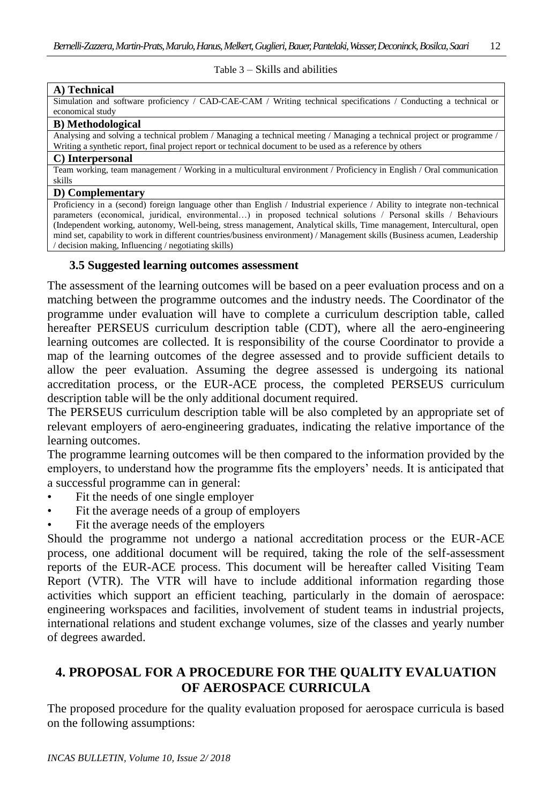#### Table 3 – Skills and abilities

#### **A) Technical**

Simulation and software proficiency / CAD-CAE-CAM / Writing technical specifications / Conducting a technical or economical study

#### **B) Methodological**

Analysing and solving a technical problem / Managing a technical meeting / Managing a technical project or programme / Writing a synthetic report, final project report or technical document to be used as a reference by others

#### **C) Interpersonal**

Team working, team management / Working in a multicultural environment / Proficiency in English / Oral communication skills

#### **D) Complementary**

Proficiency in a (second) foreign language other than English / Industrial experience / Ability to integrate non-technical parameters (economical, juridical, environmental…) in proposed technical solutions / Personal skills / Behaviours (Independent working, autonomy, Well-being, stress management, Analytical skills, Time management, Intercultural, open mind set, capability to work in different countries/business environment) / Management skills (Business acumen, Leadership / decision making, Influencing / negotiating skills)

#### **3.5 Suggested learning outcomes assessment**

The assessment of the learning outcomes will be based on a peer evaluation process and on a matching between the programme outcomes and the industry needs. The Coordinator of the programme under evaluation will have to complete a curriculum description table, called hereafter PERSEUS curriculum description table (CDT), where all the aero-engineering learning outcomes are collected. It is responsibility of the course Coordinator to provide a map of the learning outcomes of the degree assessed and to provide sufficient details to allow the peer evaluation. Assuming the degree assessed is undergoing its national accreditation process, or the EUR-ACE process, the completed PERSEUS curriculum description table will be the only additional document required.

The PERSEUS curriculum description table will be also completed by an appropriate set of relevant employers of aero-engineering graduates, indicating the relative importance of the learning outcomes.

The programme learning outcomes will be then compared to the information provided by the employers, to understand how the programme fits the employers' needs. It is anticipated that a successful programme can in general:

- Fit the needs of one single employer
- Fit the average needs of a group of employers
- Fit the average needs of the employers

Should the programme not undergo a national accreditation process or the EUR-ACE process, one additional document will be required, taking the role of the self-assessment reports of the EUR-ACE process. This document will be hereafter called Visiting Team Report (VTR). The VTR will have to include additional information regarding those activities which support an efficient teaching, particularly in the domain of aerospace: engineering workspaces and facilities, involvement of student teams in industrial projects, international relations and student exchange volumes, size of the classes and yearly number of degrees awarded.

## **4. PROPOSAL FOR A PROCEDURE FOR THE QUALITY EVALUATION OF AEROSPACE CURRICULA**

The proposed procedure for the quality evaluation proposed for aerospace curricula is based on the following assumptions: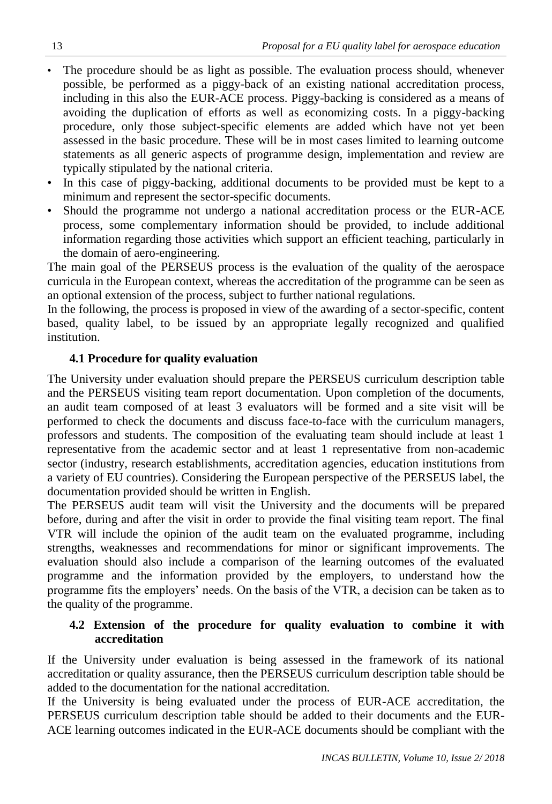- The procedure should be as light as possible. The evaluation process should, whenever possible, be performed as a piggy-back of an existing national accreditation process, including in this also the EUR-ACE process. Piggy-backing is considered as a means of avoiding the duplication of efforts as well as economizing costs. In a piggy-backing procedure, only those subject-specific elements are added which have not yet been assessed in the basic procedure. These will be in most cases limited to learning outcome statements as all generic aspects of programme design, implementation and review are typically stipulated by the national criteria.
- In this case of piggy-backing, additional documents to be provided must be kept to a minimum and represent the sector-specific documents.
- Should the programme not undergo a national accreditation process or the EUR-ACE process, some complementary information should be provided, to include additional information regarding those activities which support an efficient teaching, particularly in the domain of aero-engineering.

The main goal of the PERSEUS process is the evaluation of the quality of the aerospace curricula in the European context, whereas the accreditation of the programme can be seen as an optional extension of the process, subject to further national regulations.

In the following, the process is proposed in view of the awarding of a sector-specific, content based, quality label, to be issued by an appropriate legally recognized and qualified institution.

## **4.1 Procedure for quality evaluation**

The University under evaluation should prepare the PERSEUS curriculum description table and the PERSEUS visiting team report documentation. Upon completion of the documents, an audit team composed of at least 3 evaluators will be formed and a site visit will be performed to check the documents and discuss face-to-face with the curriculum managers, professors and students. The composition of the evaluating team should include at least 1 representative from the academic sector and at least 1 representative from non-academic sector (industry, research establishments, accreditation agencies, education institutions from a variety of EU countries). Considering the European perspective of the PERSEUS label, the documentation provided should be written in English.

The PERSEUS audit team will visit the University and the documents will be prepared before, during and after the visit in order to provide the final visiting team report. The final VTR will include the opinion of the audit team on the evaluated programme, including strengths, weaknesses and recommendations for minor or significant improvements. The evaluation should also include a comparison of the learning outcomes of the evaluated programme and the information provided by the employers, to understand how the programme fits the employers' needs. On the basis of the VTR, a decision can be taken as to the quality of the programme.

## **4.2 Extension of the procedure for quality evaluation to combine it with accreditation**

If the University under evaluation is being assessed in the framework of its national accreditation or quality assurance, then the PERSEUS curriculum description table should be added to the documentation for the national accreditation.

If the University is being evaluated under the process of EUR-ACE accreditation, the PERSEUS curriculum description table should be added to their documents and the EUR-ACE learning outcomes indicated in the EUR-ACE documents should be compliant with the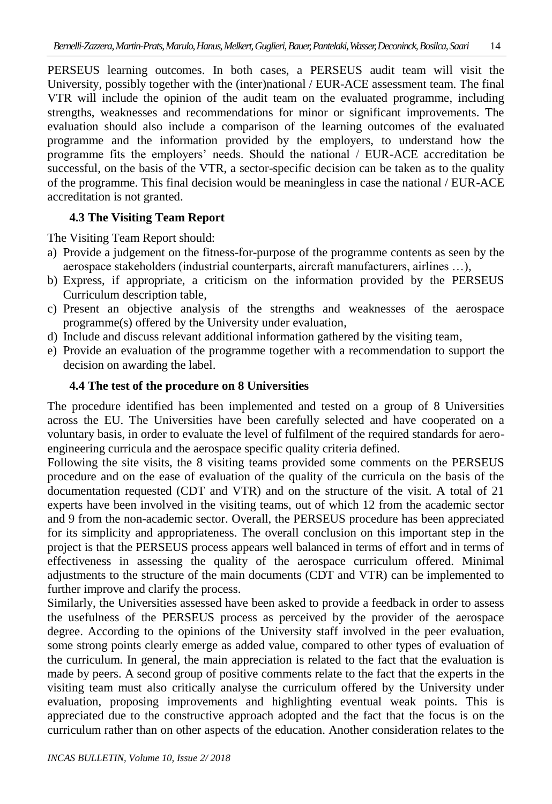PERSEUS learning outcomes. In both cases, a PERSEUS audit team will visit the University, possibly together with the (inter)national / EUR-ACE assessment team. The final VTR will include the opinion of the audit team on the evaluated programme, including strengths, weaknesses and recommendations for minor or significant improvements. The evaluation should also include a comparison of the learning outcomes of the evaluated programme and the information provided by the employers, to understand how the programme fits the employers' needs. Should the national / EUR-ACE accreditation be successful, on the basis of the VTR, a sector-specific decision can be taken as to the quality of the programme. This final decision would be meaningless in case the national / EUR-ACE accreditation is not granted.

## **4.3 The Visiting Team Report**

The Visiting Team Report should:

- a) Provide a judgement on the fitness-for-purpose of the programme contents as seen by the aerospace stakeholders (industrial counterparts, aircraft manufacturers, airlines …),
- b) Express, if appropriate, a criticism on the information provided by the PERSEUS Curriculum description table,
- c) Present an objective analysis of the strengths and weaknesses of the aerospace programme(s) offered by the University under evaluation,
- d) Include and discuss relevant additional information gathered by the visiting team,
- e) Provide an evaluation of the programme together with a recommendation to support the decision on awarding the label.

## **4.4 The test of the procedure on 8 Universities**

The procedure identified has been implemented and tested on a group of 8 Universities across the EU. The Universities have been carefully selected and have cooperated on a voluntary basis, in order to evaluate the level of fulfilment of the required standards for aeroengineering curricula and the aerospace specific quality criteria defined.

Following the site visits, the 8 visiting teams provided some comments on the PERSEUS procedure and on the ease of evaluation of the quality of the curricula on the basis of the documentation requested (CDT and VTR) and on the structure of the visit. A total of 21 experts have been involved in the visiting teams, out of which 12 from the academic sector and 9 from the non-academic sector. Overall, the PERSEUS procedure has been appreciated for its simplicity and appropriateness. The overall conclusion on this important step in the project is that the PERSEUS process appears well balanced in terms of effort and in terms of effectiveness in assessing the quality of the aerospace curriculum offered. Minimal adjustments to the structure of the main documents (CDT and VTR) can be implemented to further improve and clarify the process.

Similarly, the Universities assessed have been asked to provide a feedback in order to assess the usefulness of the PERSEUS process as perceived by the provider of the aerospace degree. According to the opinions of the University staff involved in the peer evaluation, some strong points clearly emerge as added value, compared to other types of evaluation of the curriculum. In general, the main appreciation is related to the fact that the evaluation is made by peers. A second group of positive comments relate to the fact that the experts in the visiting team must also critically analyse the curriculum offered by the University under evaluation, proposing improvements and highlighting eventual weak points. This is appreciated due to the constructive approach adopted and the fact that the focus is on the curriculum rather than on other aspects of the education. Another consideration relates to the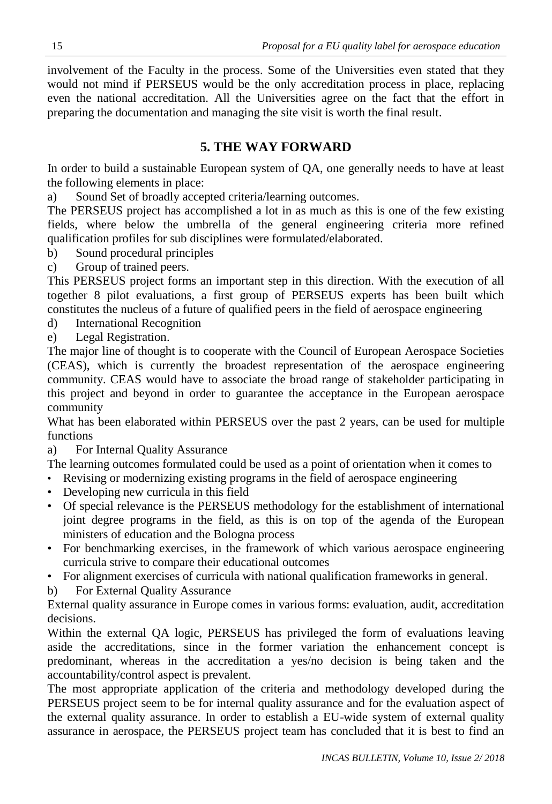involvement of the Faculty in the process. Some of the Universities even stated that they would not mind if PERSEUS would be the only accreditation process in place, replacing even the national accreditation. All the Universities agree on the fact that the effort in preparing the documentation and managing the site visit is worth the final result.

## **5. THE WAY FORWARD**

In order to build a sustainable European system of QA, one generally needs to have at least the following elements in place:

a) Sound Set of broadly accepted criteria/learning outcomes.

The PERSEUS project has accomplished a lot in as much as this is one of the few existing fields, where below the umbrella of the general engineering criteria more refined qualification profiles for sub disciplines were formulated/elaborated.

- b) Sound procedural principles
- c) Group of trained peers.

This PERSEUS project forms an important step in this direction. With the execution of all together 8 pilot evaluations, a first group of PERSEUS experts has been built which constitutes the nucleus of a future of qualified peers in the field of aerospace engineering

d) International Recognition

e) Legal Registration.

The major line of thought is to cooperate with the Council of European Aerospace Societies (CEAS), which is currently the broadest representation of the aerospace engineering community. CEAS would have to associate the broad range of stakeholder participating in this project and beyond in order to guarantee the acceptance in the European aerospace community

What has been elaborated within PERSEUS over the past 2 years, can be used for multiple functions

a) For Internal Quality Assurance

The learning outcomes formulated could be used as a point of orientation when it comes to

- Revising or modernizing existing programs in the field of aerospace engineering
- Developing new curricula in this field
- Of special relevance is the PERSEUS methodology for the establishment of international joint degree programs in the field, as this is on top of the agenda of the European ministers of education and the Bologna process
- For benchmarking exercises, in the framework of which various aerospace engineering curricula strive to compare their educational outcomes
- For alignment exercises of curricula with national qualification frameworks in general.

b) For External Quality Assurance

External quality assurance in Europe comes in various forms: evaluation, audit, accreditation decisions.

Within the external QA logic, PERSEUS has privileged the form of evaluations leaving aside the accreditations, since in the former variation the enhancement concept is predominant, whereas in the accreditation a yes/no decision is being taken and the accountability/control aspect is prevalent.

The most appropriate application of the criteria and methodology developed during the PERSEUS project seem to be for internal quality assurance and for the evaluation aspect of the external quality assurance. In order to establish a EU-wide system of external quality assurance in aerospace, the PERSEUS project team has concluded that it is best to find an